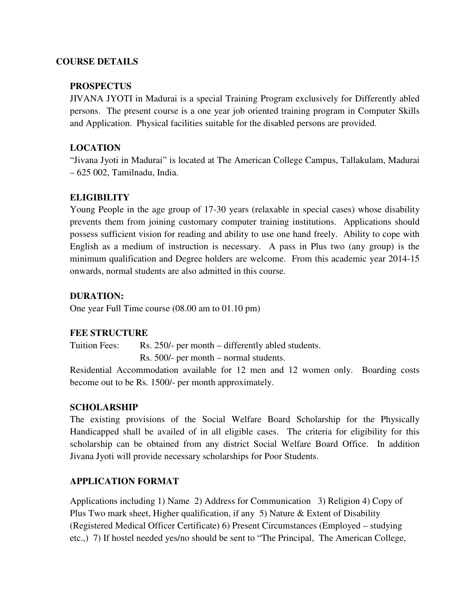#### **COURSE DETAILS**

#### **PROSPECTUS**

JIVANA JYOTI in Madurai is a special Training Program exclusively for Differently abled persons. The present course is a one year job oriented training program in Computer Skills and Application. Physical facilities suitable for the disabled persons are provided.

## **LOCATION**

"Jivana Jyoti in Madurai" is located at The American College Campus, Tallakulam, Madurai – 625 002, Tamilnadu, India.

## **ELIGIBILITY**

Young People in the age group of 17-30 years (relaxable in special cases) whose disability prevents them from joining customary computer training institutions. Applications should possess sufficient vision for reading and ability to use one hand freely. Ability to cope with English as a medium of instruction is necessary. A pass in Plus two (any group) is the minimum qualification and Degree holders are welcome. From this academic year 2014-15 onwards, normal students are also admitted in this course.

## **DURATION:**

One year Full Time course (08.00 am to 01.10 pm)

## **FEE STRUCTURE**

Tuition Fees: Rs. 250/- per month – differently abled students.

Rs. 500/- per month – normal students.

Residential Accommodation available for 12 men and 12 women only. Boarding costs become out to be Rs. 1500/- per month approximately.

# **SCHOLARSHIP**

The existing provisions of the Social Welfare Board Scholarship for the Physically Handicapped shall be availed of in all eligible cases. The criteria for eligibility for this scholarship can be obtained from any district Social Welfare Board Office. In addition Jivana Jyoti will provide necessary scholarships for Poor Students.

## **APPLICATION FORMAT**

Applications including 1) Name 2) Address for Communication 3) Religion 4) Copy of Plus Two mark sheet, Higher qualification, if any 5) Nature  $\&$  Extent of Disability (Registered Medical Officer Certificate) 6) Present Circumstances (Employed – studying etc.,) 7) If hostel needed yes/no should be sent to "The Principal, The American College,